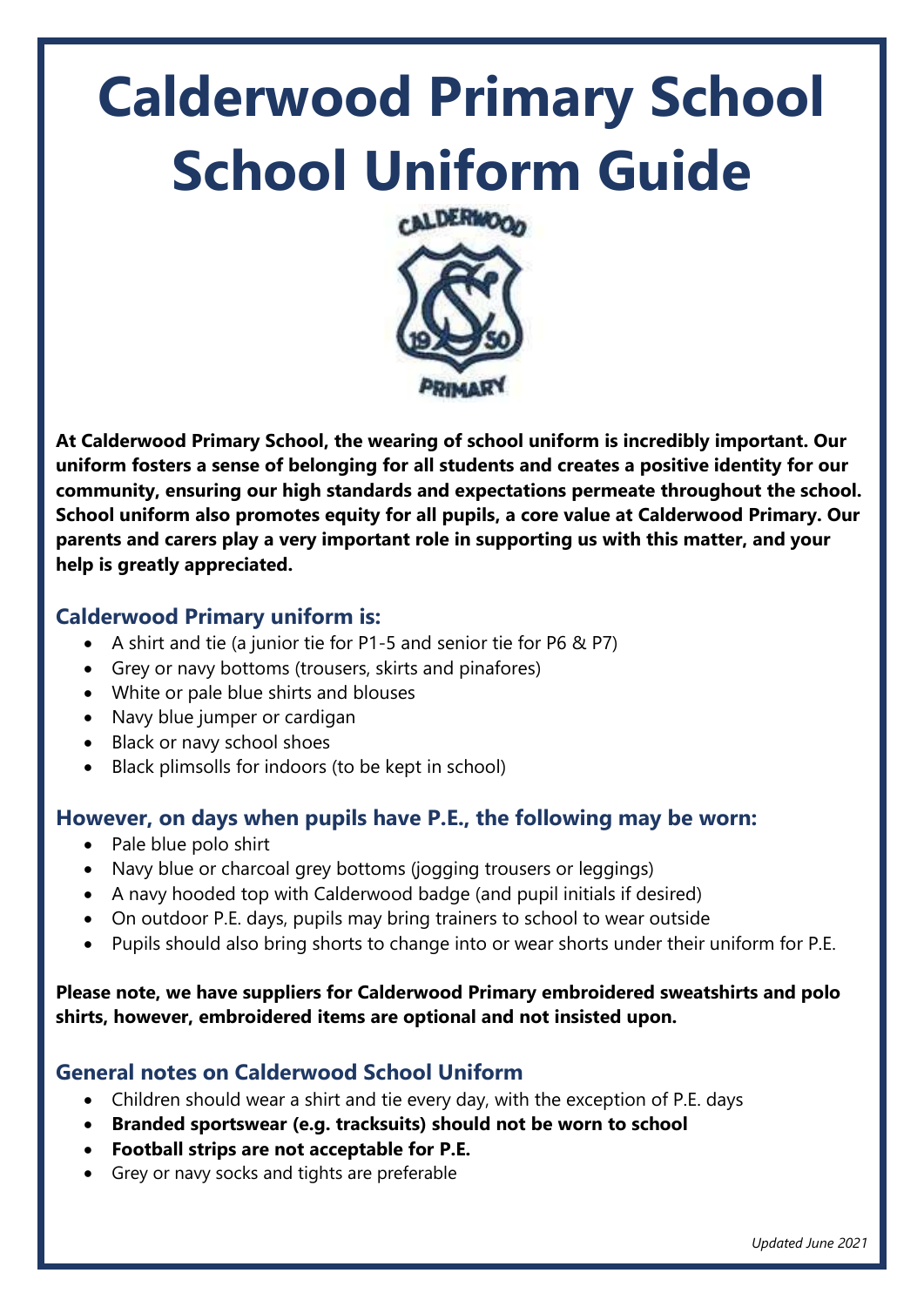# **Calderwood Primary School School Uniform Guide**



**At Calderwood Primary School, the wearing of school uniform is incredibly important. Our uniform fosters a sense of belonging for all students and creates a positive identity for our community, ensuring our high standards and expectations permeate throughout the school. School uniform also promotes equity for all pupils, a core value at Calderwood Primary. Our parents and carers play a very important role in supporting us with this matter, and your help is greatly appreciated.**

# **Calderwood Primary uniform is:**

- A shirt and tie (a junior tie for P1-5 and senior tie for P6 & P7)
- Grey or navy bottoms (trousers, skirts and pinafores)
- White or pale blue shirts and blouses
- Navy blue jumper or cardigan
- Black or navy school shoes
- Black plimsolls for indoors (to be kept in school)

# **However, on days when pupils have P.E., the following may be worn:**

- Pale blue polo shirt
- Navy blue or charcoal grey bottoms (jogging trousers or leggings)
- A navy hooded top with Calderwood badge (and pupil initials if desired)
- On outdoor P.E. days, pupils may bring trainers to school to wear outside
- Pupils should also bring shorts to change into or wear shorts under their uniform for P.E.

#### **Please note, we have suppliers for Calderwood Primary embroidered sweatshirts and polo shirts, however, embroidered items are optional and not insisted upon.**

# **General notes on Calderwood School Uniform**

- Children should wear a shirt and tie every day, with the exception of P.E. days
- **Branded sportswear (e.g. tracksuits) should not be worn to school**
- **Football strips are not acceptable for P.E.**
- Grey or navy socks and tights are preferable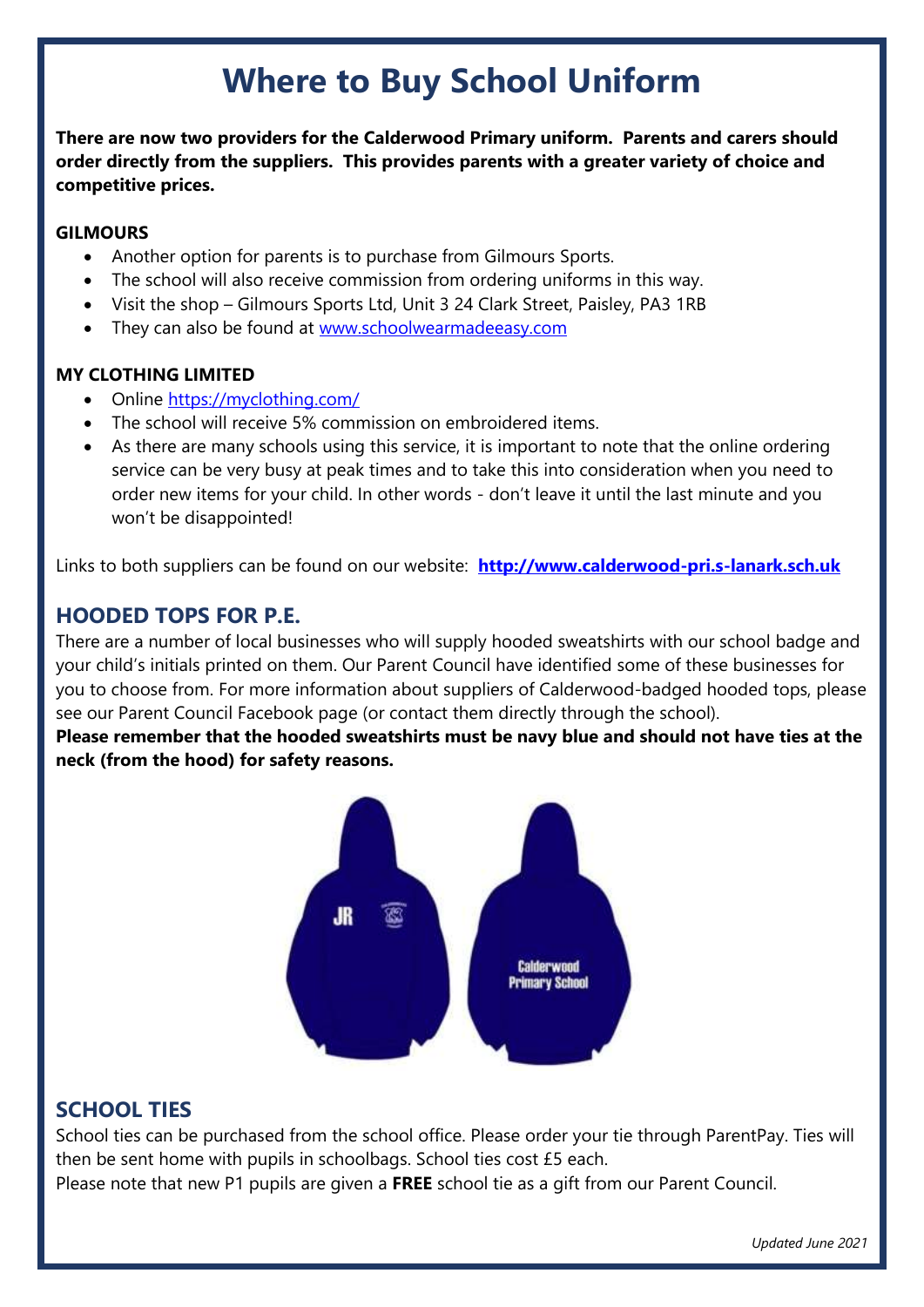# **Where to Buy School Uniform**

**There are now two providers for the Calderwood Primary uniform. Parents and carers should order directly from the suppliers. This provides parents with a greater variety of choice and competitive prices.**

#### **GILMOURS**

- Another option for parents is to purchase from Gilmours Sports.
- The school will also receive commission from ordering uniforms in this way.
- Visit the shop Gilmours Sports Ltd, Unit 3 24 Clark Street, Paisley, PA3 1RB
- They can also be found at [www.schoolwearmadeeasy.com](http://www.schoolwearmadeeasy.com/)

#### **MY CLOTHING LIMITED**

- Online<https://myclothing.com/>
- The school will receive 5% commission on embroidered items.
- As there are many schools using this service, it is important to note that the online ordering service can be very busy at peak times and to take this into consideration when you need to order new items for your child. In other words - don't leave it until the last minute and you won't be disappointed!

Links to both suppliers can be found on our website: **[http://www.calderwood-pri.s-lanark.sch.uk](http://www.calderwood-pri.s-lanark.sch.uk/)**

# **HOODED TOPS FOR P.E.**

There are a number of local businesses who will supply hooded sweatshirts with our school badge and your child's initials printed on them. Our Parent Council have identified some of these businesses for you to choose from. For more information about suppliers of Calderwood-badged hooded tops, please see our Parent Council Facebook page (or contact them directly through the school).

**Please remember that the hooded sweatshirts must be navy blue and should not have ties at the neck (from the hood) for safety reasons.**



# **SCHOOL TIES**

School ties can be purchased from the school office. Please order your tie through ParentPay. Ties will then be sent home with pupils in schoolbags. School ties cost £5 each.

Please note that new P1 pupils are given a **FREE** school tie as a gift from our Parent Council.